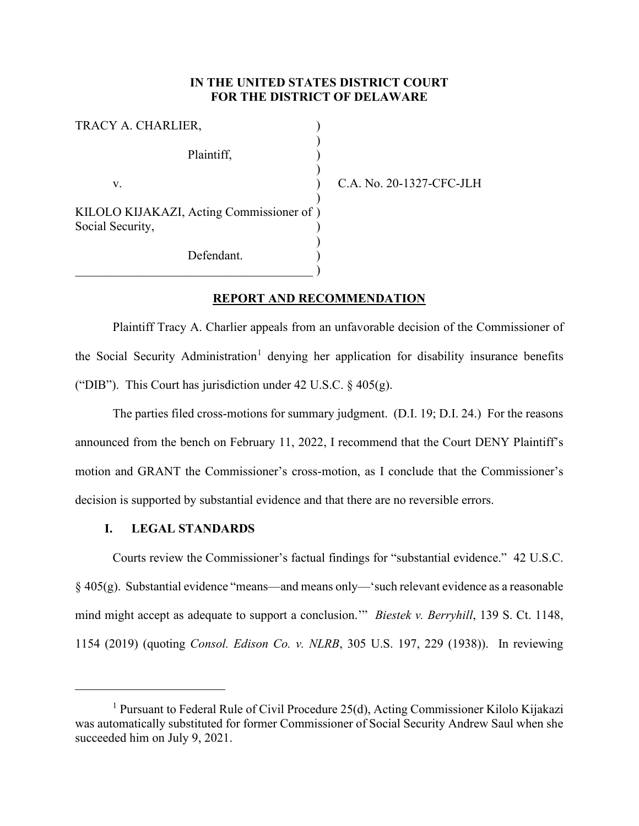# **IN THE UNITED STATES DISTRICT COURT FOR THE DISTRICT OF DELAWARE**

| TRACY A. CHARLIER,                                           |  |
|--------------------------------------------------------------|--|
| Plaintiff,                                                   |  |
| V.                                                           |  |
| KILOLO KIJAKAZI, Acting Commissioner of)<br>Social Security, |  |
| Defendant.                                                   |  |

C.A. No. 20-1327-CFC-JLH

## **REPORT AND RECOMMENDATION**

Plaintiff Tracy A. Charlier appeals from an unfavorable decision of the Commissioner of the Social Security Administration<sup>[1](#page-0-0)</sup> denying her application for disability insurance benefits ("DIB"). This Court has jurisdiction under 42 U.S.C.  $\frac{6}{9}$  405(g).

The parties filed cross-motions for summary judgment. (D.I. 19; D.I. 24.) For the reasons announced from the bench on February 11, 2022, I recommend that the Court DENY Plaintiff's motion and GRANT the Commissioner's cross-motion, as I conclude that the Commissioner's decision is supported by substantial evidence and that there are no reversible errors.

### **I. LEGAL STANDARDS**

Courts review the Commissioner's factual findings for "substantial evidence." 42 U.S.C.  $\S$  405(g). Substantial evidence "means—and means only—'such relevant evidence as a reasonable mind might accept as adequate to support a conclusion.'" *Biestek v. Berryhill*, 139 S. Ct. 1148, 1154 (2019) (quoting *Consol. Edison Co. v. NLRB*, 305 U.S. 197, 229 (1938)). In reviewing

<span id="page-0-0"></span><sup>&</sup>lt;sup>1</sup> Pursuant to Federal Rule of Civil Procedure 25(d), Acting Commissioner Kilolo Kijakazi was automatically substituted for former Commissioner of Social Security Andrew Saul when she succeeded him on July 9, 2021.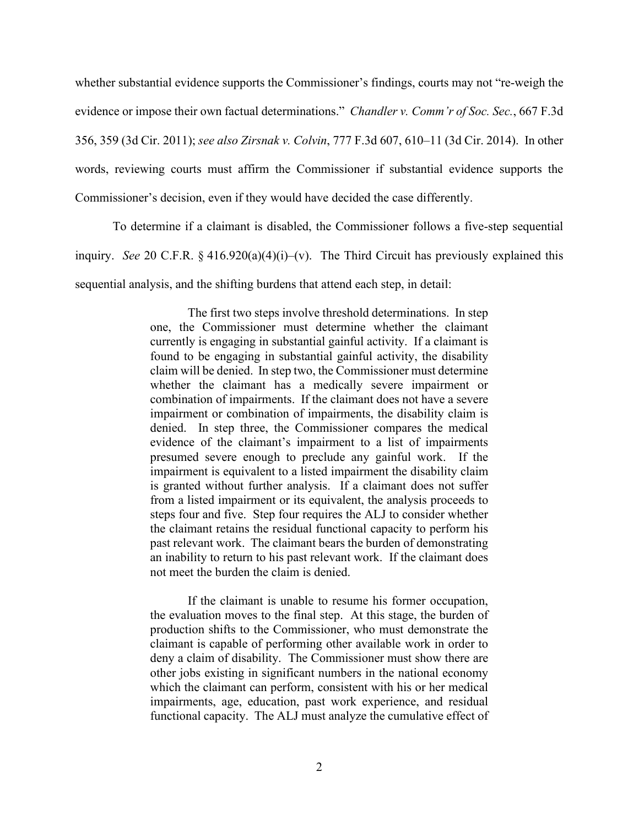whether substantial evidence supports the Commissioner's findings, courts may not "re-weigh the evidence or impose their own factual determinations." *Chandler v. Comm'r of Soc. Sec.*, 667 F.3d 356, 359 (3d Cir. 2011); *see also Zirsnak v. Colvin*, 777 F.3d 607, 610–11 (3d Cir. 2014). In other words, reviewing courts must affirm the Commissioner if substantial evidence supports the Commissioner's decision, even if they would have decided the case differently.

To determine if a claimant is disabled, the Commissioner follows a five-step sequential inquiry. *See* 20 C.F.R. § 416.920(a)(4)(i)–(v). The Third Circuit has previously explained this sequential analysis, and the shifting burdens that attend each step, in detail:

> The first two steps involve threshold determinations. In step one, the Commissioner must determine whether the claimant currently is engaging in substantial gainful activity. If a claimant is found to be engaging in substantial gainful activity, the disability claim will be denied. In step two, the Commissioner must determine whether the claimant has a medically severe impairment or combination of impairments. If the claimant does not have a severe impairment or combination of impairments, the disability claim is denied. In step three, the Commissioner compares the medical evidence of the claimant's impairment to a list of impairments presumed severe enough to preclude any gainful work. If the impairment is equivalent to a listed impairment the disability claim is granted without further analysis. If a claimant does not suffer from a listed impairment or its equivalent, the analysis proceeds to steps four and five. Step four requires the ALJ to consider whether the claimant retains the residual functional capacity to perform his past relevant work. The claimant bears the burden of demonstrating an inability to return to his past relevant work. If the claimant does not meet the burden the claim is denied.

> If the claimant is unable to resume his former occupation, the evaluation moves to the final step. At this stage, the burden of production shifts to the Commissioner, who must demonstrate the claimant is capable of performing other available work in order to deny a claim of disability. The Commissioner must show there are other jobs existing in significant numbers in the national economy which the claimant can perform, consistent with his or her medical impairments, age, education, past work experience, and residual functional capacity. The ALJ must analyze the cumulative effect of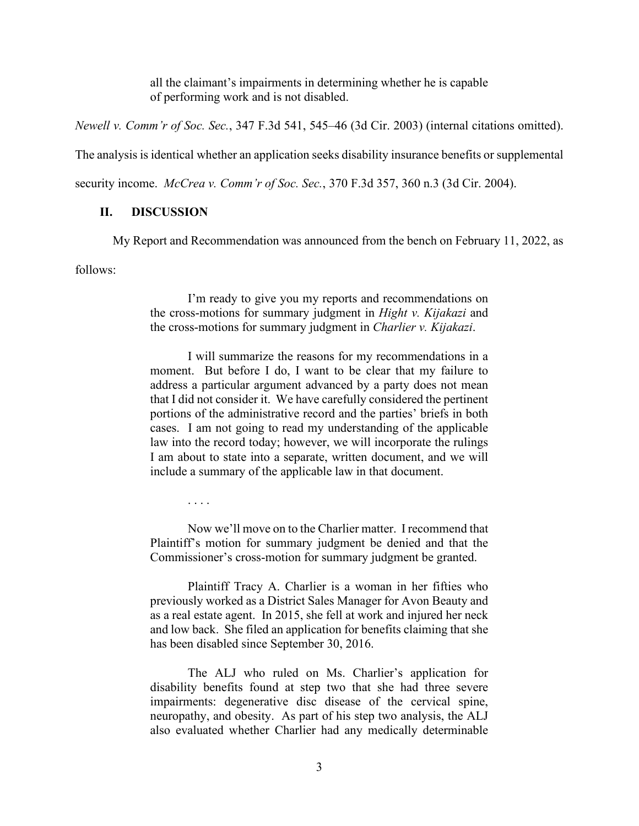all the claimant's impairments in determining whether he is capable of performing work and is not disabled.

*Newell v. Comm'r of Soc. Sec.*, 347 F.3d 541, 545–46 (3d Cir. 2003) (internal citations omitted).

The analysis is identical whether an application seeks disability insurance benefits or supplemental

security income. *McCrea v. Comm'r of Soc. Sec.*, 370 F.3d 357, 360 n.3 (3d Cir. 2004).

### **II. DISCUSSION**

My Report and Recommendation was announced from the bench on February 11, 2022, as

follows:

I'm ready to give you my reports and recommendations on the cross-motions for summary judgment in *Hight v. Kijakazi* and the cross-motions for summary judgment in *Charlier v. Kijakazi*.

I will summarize the reasons for my recommendations in a moment. But before I do, I want to be clear that my failure to address a particular argument advanced by a party does not mean that I did not consider it. We have carefully considered the pertinent portions of the administrative record and the parties' briefs in both cases. I am not going to read my understanding of the applicable law into the record today; however, we will incorporate the rulings I am about to state into a separate, written document, and we will include a summary of the applicable law in that document.

. . . .

Now we'll move on to the Charlier matter. I recommend that Plaintiff's motion for summary judgment be denied and that the Commissioner's cross-motion for summary judgment be granted.

Plaintiff Tracy A. Charlier is a woman in her fifties who previously worked as a District Sales Manager for Avon Beauty and as a real estate agent. In 2015, she fell at work and injured her neck and low back. She filed an application for benefits claiming that she has been disabled since September 30, 2016.

The ALJ who ruled on Ms. Charlier's application for disability benefits found at step two that she had three severe impairments: degenerative disc disease of the cervical spine, neuropathy, and obesity. As part of his step two analysis, the ALJ also evaluated whether Charlier had any medically determinable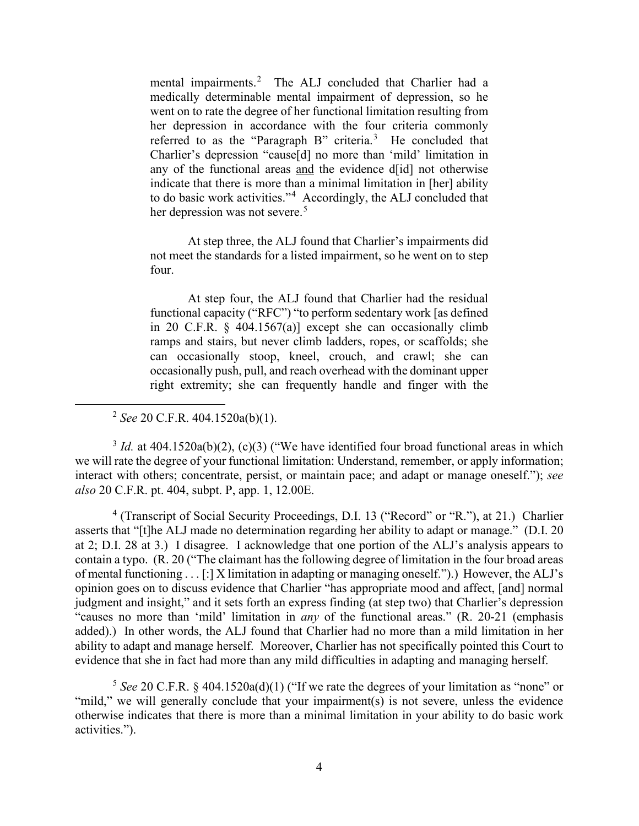mental impairments.<sup>[2](#page-3-0)</sup> The ALJ concluded that Charlier had a medically determinable mental impairment of depression, so he went on to rate the degree of her functional limitation resulting from her depression in accordance with the four criteria commonly referred to as the "Paragraph B" criteria. $3$  He concluded that Charlier's depression "cause[d] no more than 'mild' limitation in any of the functional areas and the evidence d[id] not otherwise indicate that there is more than a minimal limitation in [her] ability to do basic work activities."[4](#page-3-2) Accordingly, the ALJ concluded that her depression was not severe.<sup>[5](#page-3-3)</sup>

At step three, the ALJ found that Charlier's impairments did not meet the standards for a listed impairment, so he went on to step four.

At step four, the ALJ found that Charlier had the residual functional capacity ("RFC") "to perform sedentary work [as defined in 20 C.F.R. § 404.1567(a)] except she can occasionally climb ramps and stairs, but never climb ladders, ropes, or scaffolds; she can occasionally stoop, kneel, crouch, and crawl; she can occasionally push, pull, and reach overhead with the dominant upper right extremity; she can frequently handle and finger with the

<sup>2</sup> *See* 20 C.F.R. 404.1520a(b)(1).

<span id="page-3-1"></span><span id="page-3-0"></span> $3 \text{ Id.}$  at 404.1520a(b)(2), (c)(3) ("We have identified four broad functional areas in which we will rate the degree of your functional limitation: Understand, remember, or apply information; interact with others; concentrate, persist, or maintain pace; and adapt or manage oneself."); *see also* 20 C.F.R. pt. 404, subpt. P, app. 1, 12.00E.

<span id="page-3-2"></span><sup>4</sup> (Transcript of Social Security Proceedings, D.I. 13 ("Record" or "R."), at 21.) Charlier asserts that "[t]he ALJ made no determination regarding her ability to adapt or manage." (D.I. 20 at 2; D.I. 28 at 3.) I disagree. I acknowledge that one portion of the ALJ's analysis appears to contain a typo. (R. 20 ("The claimant has the following degree of limitation in the four broad areas of mental functioning . . . [:] X limitation in adapting or managing oneself.").) However, the ALJ's opinion goes on to discuss evidence that Charlier "has appropriate mood and affect, [and] normal judgment and insight," and it sets forth an express finding (at step two) that Charlier's depression "causes no more than 'mild' limitation in *any* of the functional areas." (R. 20-21 (emphasis added).) In other words, the ALJ found that Charlier had no more than a mild limitation in her ability to adapt and manage herself. Moreover, Charlier has not specifically pointed this Court to evidence that she in fact had more than any mild difficulties in adapting and managing herself.

<span id="page-3-3"></span><sup>5</sup> *See* 20 C.F.R. § 404.1520a(d)(1) ("If we rate the degrees of your limitation as "none" or "mild," we will generally conclude that your impairment(s) is not severe, unless the evidence otherwise indicates that there is more than a minimal limitation in your ability to do basic work activities.").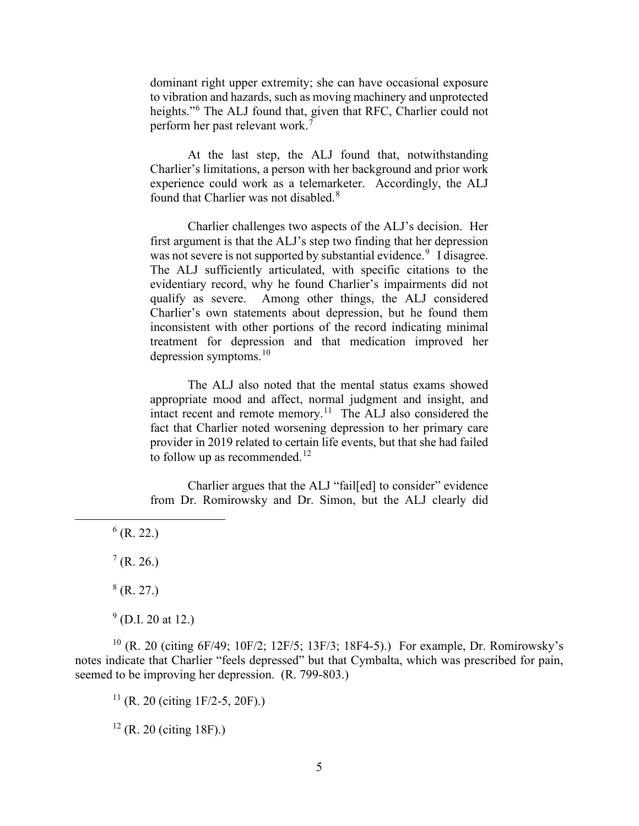dominant right upper extremity; she can have occasional exposure to vibration and hazards, such as moving machinery and unprotected heights."<sup>[6](#page-4-0)</sup> The ALJ found that, given that RFC, Charlier could not perform her past relevant work.[7](#page-4-1)

At the last step, the ALJ found that, notwithstanding Charlier's limitations, a person with her background and prior work experience could work as a telemarketer. Accordingly, the ALJ found that Charlier was not disabled.<sup>[8](#page-4-2)</sup>

Charlier challenges two aspects of the ALJ's decision. Her first argument is that the ALJ's step two finding that her depression was not severe is not supported by substantial evidence.<sup>[9](#page-4-3)</sup> I disagree. The ALJ sufficiently articulated, with specific citations to the evidentiary record, why he found Charlier's impairments did not qualify as severe. Among other things, the ALJ considered Charlier's own statements about depression, but he found them inconsistent with other portions of the record indicating minimal treatment for depression and that medication improved her depression symptoms. $10$ 

The ALJ also noted that the mental status exams showed appropriate mood and affect, normal judgment and insight, and intact recent and remote memory.<sup>[11](#page-4-5)</sup> The ALJ also considered the fact that Charlier noted worsening depression to her primary care provider in 2019 related to certain life events, but that she had failed to follow up as recommended.<sup>[12](#page-4-6)</sup>

Charlier argues that the ALJ "fail[ed] to consider" evidence from Dr. Romirowsky and Dr. Simon, but the ALJ clearly did

<span id="page-4-0"></span> $6$  (R. 22.)

<span id="page-4-1"></span> $7$  (R. 26.)

 $8$  (R. 27.)

 $9$  (D.I. 20 at 12.)

<span id="page-4-6"></span><span id="page-4-5"></span><span id="page-4-4"></span><span id="page-4-3"></span><span id="page-4-2"></span><sup>10</sup> (R. 20 (citing 6F/49; 10F/2; 12F/5; 13F/3; 18F4-5).) For example, Dr. Romirowsky's notes indicate that Charlier "feels depressed" but that Cymbalta, which was prescribed for pain, seemed to be improving her depression. (R. 799-803.)

 $11$  (R. 20 (citing 1F/2-5, 20F).)

 $12$  (R. 20 (citing 18F).)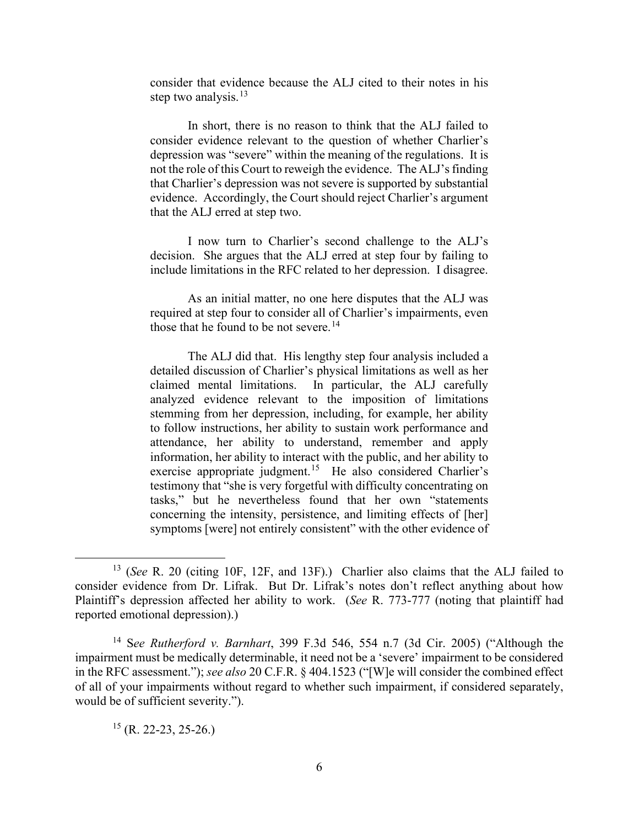consider that evidence because the ALJ cited to their notes in his step two analysis. $^{13}$  $^{13}$  $^{13}$ 

In short, there is no reason to think that the ALJ failed to consider evidence relevant to the question of whether Charlier's depression was "severe" within the meaning of the regulations. It is not the role of this Court to reweigh the evidence. The ALJ's finding that Charlier's depression was not severe is supported by substantial evidence. Accordingly, the Court should reject Charlier's argument that the ALJ erred at step two.

I now turn to Charlier's second challenge to the ALJ's decision. She argues that the ALJ erred at step four by failing to include limitations in the RFC related to her depression. I disagree.

As an initial matter, no one here disputes that the ALJ was required at step four to consider all of Charlier's impairments, even those that he found to be not severe.<sup>[14](#page-5-1)</sup>

The ALJ did that. His lengthy step four analysis included a detailed discussion of Charlier's physical limitations as well as her claimed mental limitations. In particular, the ALJ carefully analyzed evidence relevant to the imposition of limitations stemming from her depression, including, for example, her ability to follow instructions, her ability to sustain work performance and attendance, her ability to understand, remember and apply information, her ability to interact with the public, and her ability to exercise appropriate judgment.<sup>[15](#page-5-2)</sup> He also considered Charlier's testimony that "she is very forgetful with difficulty concentrating on tasks," but he nevertheless found that her own "statements concerning the intensity, persistence, and limiting effects of [her] symptoms [were] not entirely consistent" with the other evidence of

<span id="page-5-2"></span> $15$  (R. 22-23, 25-26.)

<span id="page-5-0"></span><sup>13</sup> (*See* R. 20 (citing 10F, 12F, and 13F).) Charlier also claims that the ALJ failed to consider evidence from Dr. Lifrak. But Dr. Lifrak's notes don't reflect anything about how Plaintiff's depression affected her ability to work. (*See* R. 773-777 (noting that plaintiff had reported emotional depression).)

<span id="page-5-1"></span><sup>14</sup> S*ee Rutherford v. Barnhart*, 399 F.3d 546, 554 n.7 (3d Cir. 2005) ("Although the impairment must be medically determinable, it need not be a 'severe' impairment to be considered in the RFC assessment."); *see also* 20 C.F.R. § 404.1523 ("[W]e will consider the combined effect of all of your impairments without regard to whether such impairment, if considered separately, would be of sufficient severity.").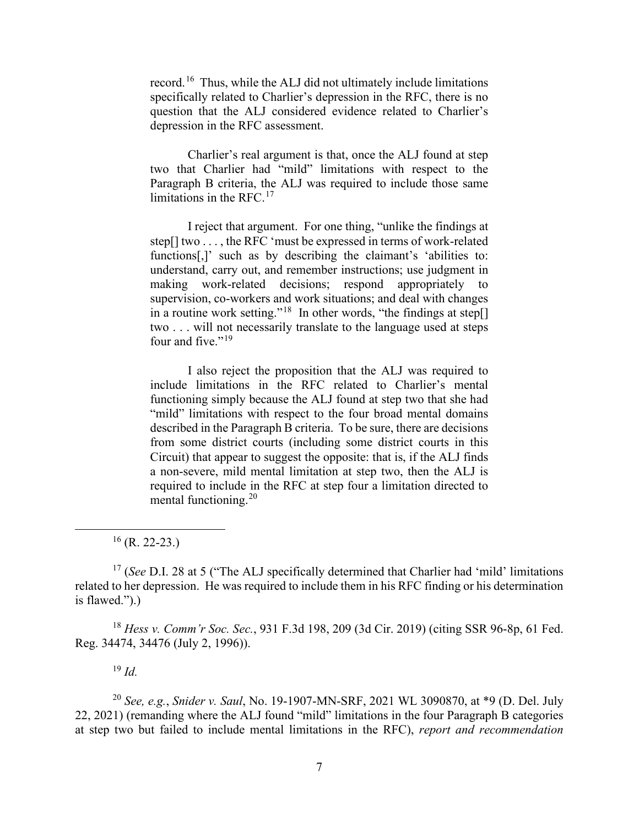record.[16](#page-6-0) Thus, while the ALJ did not ultimately include limitations specifically related to Charlier's depression in the RFC, there is no question that the ALJ considered evidence related to Charlier's depression in the RFC assessment.

Charlier's real argument is that, once the ALJ found at step two that Charlier had "mild" limitations with respect to the Paragraph B criteria, the ALJ was required to include those same limitations in the RFC. $17$ 

I reject that argument. For one thing, "unlike the findings at step[] two . . . , the RFC 'must be expressed in terms of work-related functions[,]' such as by describing the claimant's 'abilities to: understand, carry out, and remember instructions; use judgment in making work-related decisions; respond appropriately to supervision, co-workers and work situations; and deal with changes in a routine work setting."<sup>[18](#page-6-2)</sup> In other words, "the findings at step[] two . . . will not necessarily translate to the language used at steps four and five." $19$ 

I also reject the proposition that the ALJ was required to include limitations in the RFC related to Charlier's mental functioning simply because the ALJ found at step two that she had "mild" limitations with respect to the four broad mental domains described in the Paragraph B criteria. To be sure, there are decisions from some district courts (including some district courts in this Circuit) that appear to suggest the opposite: that is, if the ALJ finds a non-severe, mild mental limitation at step two, then the ALJ is required to include in the RFC at step four a limitation directed to mental functioning.[20](#page-6-4)

 $16$  (R. 22-23.)

<span id="page-6-1"></span><span id="page-6-0"></span><sup>17</sup> (*See* D.I. 28 at 5 ("The ALJ specifically determined that Charlier had 'mild' limitations related to her depression. He was required to include them in his RFC finding or his determination is flawed.").)

<span id="page-6-2"></span><sup>18</sup> *Hess v. Comm'r Soc. Sec.*, 931 F.3d 198, 209 (3d Cir. 2019) (citing SSR 96-8p, 61 Fed. Reg. 34474, 34476 (July 2, 1996)).

<sup>19</sup> *Id.*

<span id="page-6-4"></span><span id="page-6-3"></span><sup>20</sup> *See, e.g.*, *Snider v. Saul*, No. 19-1907-MN-SRF, 2021 WL 3090870, at \*9 (D. Del. July 22, 2021) (remanding where the ALJ found "mild" limitations in the four Paragraph B categories at step two but failed to include mental limitations in the RFC), *report and recommendation*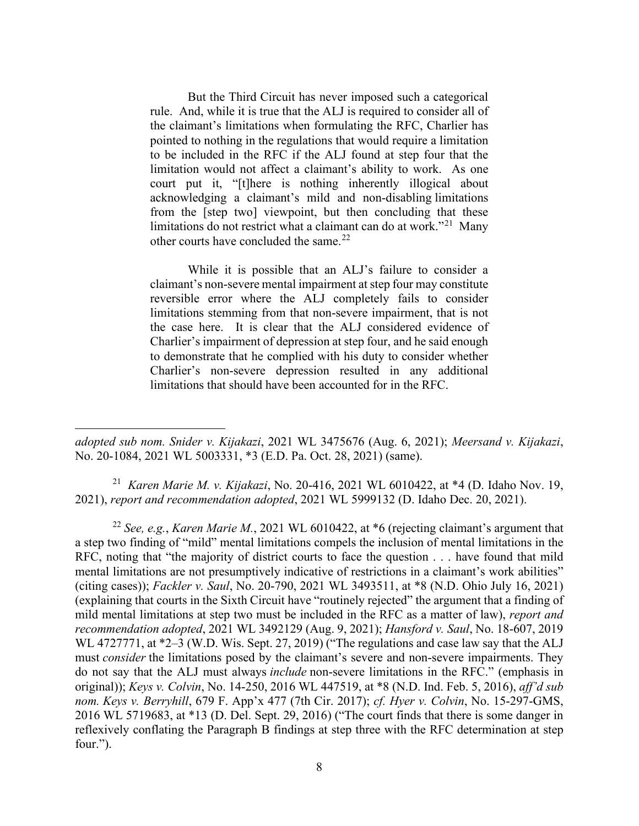But the Third Circuit has never imposed such a categorical rule. And, while it is true that the ALJ is required to consider all of the claimant's limitations when formulating the RFC, Charlier has pointed to nothing in the regulations that would require a limitation to be included in the RFC if the ALJ found at step four that the limitation would not affect a claimant's ability to work. As one court put it, "[t]here is nothing inherently illogical about acknowledging a claimant's mild and non-disabling limitations from the [step two] viewpoint, but then concluding that these limitations do not restrict what a claimant can do at work."[21](#page-7-0) Many other courts have concluded the same. $^{22}$  $^{22}$  $^{22}$ 

While it is possible that an ALJ's failure to consider a claimant's non-severe mental impairment at step four may constitute reversible error where the ALJ completely fails to consider limitations stemming from that non-severe impairment, that is not the case here. It is clear that the ALJ considered evidence of Charlier's impairment of depression at step four, and he said enough to demonstrate that he complied with his duty to consider whether Charlier's non-severe depression resulted in any additional limitations that should have been accounted for in the RFC.

<span id="page-7-0"></span>21 *Karen Marie M. v. Kijakazi*, No. 20-416, 2021 WL 6010422, at \*4 (D. Idaho Nov. 19, 2021), *report and recommendation adopted*, 2021 WL 5999132 (D. Idaho Dec. 20, 2021).

<span id="page-7-1"></span><sup>22</sup> *See, e.g.*, *Karen Marie M.*, 2021 WL 6010422, at \*6 (rejecting claimant's argument that a step two finding of "mild" mental limitations compels the inclusion of mental limitations in the RFC, noting that "the majority of district courts to face the question . . . have found that mild mental limitations are not presumptively indicative of restrictions in a claimant's work abilities" (citing cases)); *Fackler v. Saul*, No. 20-790, 2021 WL 3493511, at \*8 (N.D. Ohio July 16, 2021) (explaining that courts in the Sixth Circuit have "routinely rejected" the argument that a finding of mild mental limitations at step two must be included in the RFC as a matter of law), *report and recommendation adopted*, 2021 WL 3492129 (Aug. 9, 2021); *Hansford v. Saul*, No. 18-607, 2019 WL 4727771, at \*2–3 (W.D. Wis. Sept. 27, 2019) ("The regulations and case law say that the ALJ must *consider* the limitations posed by the claimant's severe and non-severe impairments. They do not say that the ALJ must always *include* non-severe limitations in the RFC." (emphasis in original)); *Keys v. Colvin*, No. 14-250, 2016 WL 447519, at \*8 (N.D. Ind. Feb. 5, 2016), *aff'd sub nom. Keys v. Berryhill*, 679 F. App'x 477 (7th Cir. 2017); *cf. Hyer v. Colvin*, No. 15-297-GMS, 2016 WL 5719683, at \*13 (D. Del. Sept. 29, 2016) ("The court finds that there is some danger in reflexively conflating the Paragraph B findings at step three with the RFC determination at step four.").

*adopted sub nom. Snider v. Kijakazi*, 2021 WL 3475676 (Aug. 6, 2021); *Meersand v. Kijakazi*, No. 20-1084, 2021 WL 5003331, \*3 (E.D. Pa. Oct. 28, 2021) (same).